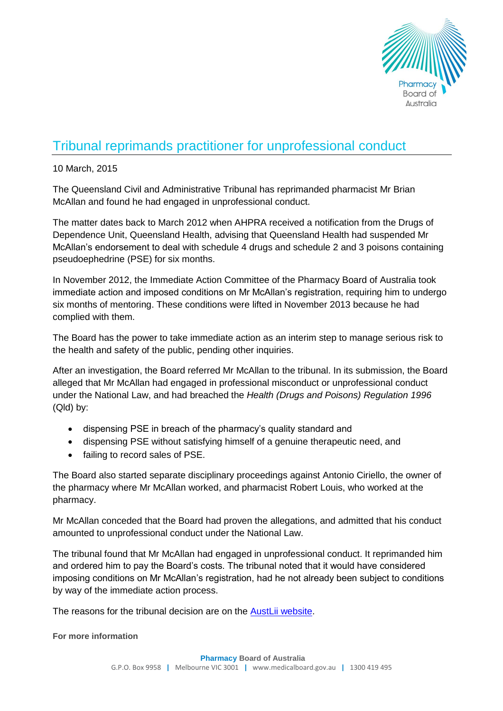

## Tribunal reprimands practitioner for unprofessional conduct

## 10 March, 2015

The Queensland Civil and Administrative Tribunal has reprimanded pharmacist Mr Brian McAllan and found he had engaged in unprofessional conduct.

The matter dates back to March 2012 when AHPRA received a notification from the Drugs of Dependence Unit, Queensland Health, advising that Queensland Health had suspended Mr McAllan's endorsement to deal with schedule 4 drugs and schedule 2 and 3 poisons containing pseudoephedrine (PSE) for six months.

In November 2012, the Immediate Action Committee of the Pharmacy Board of Australia took immediate action and imposed conditions on Mr McAllan's registration, requiring him to undergo six months of mentoring. These conditions were lifted in November 2013 because he had complied with them.

The Board has the power to take immediate action as an interim step to manage serious risk to the health and safety of the public, pending other inquiries.

After an investigation, the Board referred Mr McAllan to the tribunal. In its submission, the Board alleged that Mr McAllan had engaged in professional misconduct or unprofessional conduct under the National Law, and had breached the *Health (Drugs and Poisons) Regulation 1996*  (Qld) by:

- dispensing PSE in breach of the pharmacy's quality standard and
- dispensing PSE without satisfying himself of a genuine therapeutic need, and
- failing to record sales of PSE.

The Board also started separate disciplinary proceedings against Antonio Ciriello, the owner of the pharmacy where Mr McAllan worked, and pharmacist Robert Louis, who worked at the pharmacy.

Mr McAllan conceded that the Board had proven the allegations, and admitted that his conduct amounted to unprofessional conduct under the National Law.

The tribunal found that Mr McAllan had engaged in unprofessional conduct. It reprimanded him and ordered him to pay the Board's costs. The tribunal noted that it would have considered imposing conditions on Mr McAllan's registration, had he not already been subject to conditions by way of the immediate action process.

The reasons for the tribunal decision are on the [AustLii website.](http://www.austlii.edu.au/cgi-bin/sinodisp/au/cases/qld/QCAT/2015/20.html?stem=0&synonyms=0&query=mcallan)

**For more information**